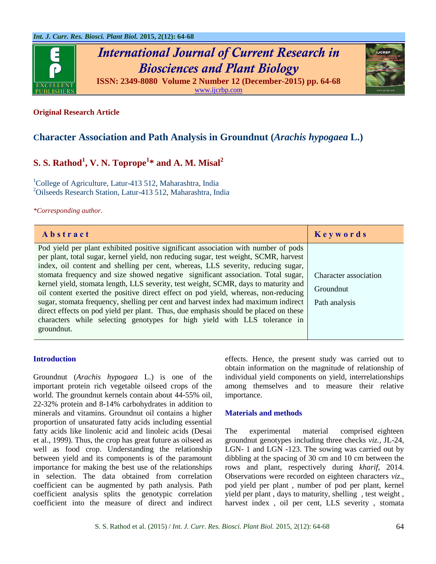

*International Journal of Current Research in Biosciences and Plant Biology*



**ISSN: 2349-8080 Volume 2 Number 12 (December-2015) pp. 64-68** [www.ijcrbp.com](http://www.ijcrbp.com/)

# **Original Research Article**

# **Character Association and Path Analysis in Groundnut (***Arachis hypogaea* **L.)**

# **S. S. Rathod<sup>1</sup> , V. N. Toprope<sup>1</sup> \* and A. M. Misal<sup>2</sup>**

<sup>1</sup>College of Agriculture, Latur-413 512, Maharashtra, India <sup>2</sup>Oilseeds Research Station, Latur-413 512, Maharashtra, India

*\*Corresponding author.*

| Abstract                                                                                                                                                                                                                                                                                                                                                                                                                                                                                                                                                                                                                                                                                                                                                                                                 | Keywords                                            |
|----------------------------------------------------------------------------------------------------------------------------------------------------------------------------------------------------------------------------------------------------------------------------------------------------------------------------------------------------------------------------------------------------------------------------------------------------------------------------------------------------------------------------------------------------------------------------------------------------------------------------------------------------------------------------------------------------------------------------------------------------------------------------------------------------------|-----------------------------------------------------|
| Pod yield per plant exhibited positive significant association with number of pods<br>per plant, total sugar, kernel yield, non reducing sugar, test weight, SCMR, harvest<br>index, oil content and shelling per cent, whereas, LLS severity, reducing sugar,<br>stomata frequency and size showed negative significant association. Total sugar,<br>kernel yield, stomata length, LLS severity, test weight, SCMR, days to maturity and<br>oil content exerted the positive direct effect on pod yield, whereas, non-reducing<br>sugar, stomata frequency, shelling per cent and harvest index had maximum indirect<br>direct effects on pod yield per plant. Thus, due emphasis should be placed on these<br>characters while selecting genotypes for high yield with LLS tolerance in<br>ground nut. | Character association<br>Groundnut<br>Path analysis |

#### **Introduction**

Groundnut (*Arachis hypogaea* L.) is one of the important protein rich vegetable oilseed crops of the world. The groundnut kernels contain about 44-55% oil, 22-32% protein and 8-14% carbohydrates in addition to minerals and vitamins. Groundnut oil contains a higher proportion of unsaturated fatty acids including essential fatty acids like linolenic acid and linoleic acids (Desai et al., 1999). Thus, the crop has great future as oilseed as well as food crop. Understanding the relationship between yield and its components is of the paramount importance for making the best use of the relationships in selection. The data obtained from correlation coefficient can be augmented by path analysis. Path coefficient analysis splits the genotypic correlation coefficient into the measure of direct and indirect effects. Hence, the present study was carried out to obtain information on the magnitude of relationship of individual yield components on yield, interrelationships among themselves and to measure their relative importance.

#### **Materials and methods**

The experimental material comprised eighteen groundnut genotypes including three checks *viz.,* JL-24, LGN- 1 and LGN -123. The sowing was carried out by dibbling at the spacing of 30 cm and 10 cm between the rows and plant, respectively during *kharif*, 2014. Observations were recorded on eighteen characters *viz*., pod yield per plant , number of pod per plant, kernel yield per plant , days to maturity, shelling , test weight , harvest index , oil per cent, LLS severity , stomata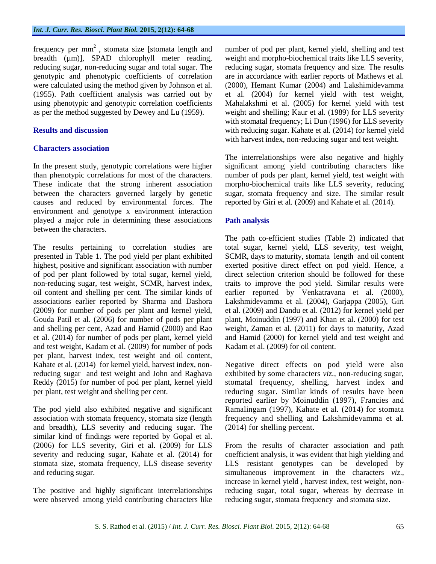frequency per  $mm<sup>2</sup>$ , stomata size [stomata length and breadth (µm)], SPAD chlorophyll meter reading, reducing sugar, non-reducing sugar and total sugar. The genotypic and phenotypic coefficients of correlation were calculated using the method given by Johnson et al*.* (1955). Path coefficient analysis was carried out by using phenotypic and genotypic correlation coefficients as per the method suggested by Dewey and Lu (1959).

### **Results and discussion**

## **Characters association**

In the present study, genotypic correlations were higher than phenotypic correlations for most of the characters. These indicate that the strong inherent association between the characters governed largely by genetic causes and reduced by environmental forces. The environment and genotype x environment interaction played a major role in determining these associations between the characters.

The results pertaining to correlation studies are presented in Table 1. The pod yield per plant exhibited highest, positive and significant association with number of pod per plant followed by total sugar, kernel yield, non-reducing sugar, test weight, SCMR, harvest index, oil content and shelling per cent. The similar kinds of associations earlier reported by Sharma and Dashora (2009) for number of pods per plant and kernel yield, Gouda Patil et al. (2006) for number of pods per plant and shelling per cent, Azad and Hamid (2000) and Rao et al. (2014) for number of pods per plant, kernel yield and test weight, Kadam et al. (2009) for number of pods per plant, harvest index, test weight and oil content, Kahate et al. (2014) for kernel yield, harvest index, nonreducing sugar and test weight and John and Raghava Reddy (2015) for number of pod per plant, kernel yield per plant, test weight and shelling per cent.

The pod yield also exhibited negative and significant association with stomata frequency, stomata size (length and breadth), LLS severity and reducing sugar. The similar kind of findings were reported by Gopal et al. (2006) for LLS severity, Giri et al. (2009) for LLS severity and reducing sugar, Kahate et al*.* (2014) for stomata size, stomata frequency, LLS disease severity and reducing sugar.

The positive and highly significant interrelationships were observed among yield contributing characters like number of pod per plant, kernel yield, shelling and test weight and morpho-biochemical traits like LLS severity, reducing sugar, stomata frequency and size. The results are in accordance with earlier reports of Mathews et al. (2000), Hemant Kumar (2004) and Lakshimidevamma et al. (2004) for kernel yield with test weight, Mahalakshmi et al. (2005) for kernel yield with test weight and shelling; Kaur et al. (1989) for LLS severity with stomatal frequency; Li Dun (1996) for LLS severity with reducing sugar. Kahate et al*.* (2014) for kernel yield with harvest index, non-reducing sugar and test weight.

The interrelationships were also negative and highly significant among yield contributing characters like number of pods per plant, kernel yield, test weight with morpho-biochemical traits like LLS severity, reducing sugar, stomata frequency and size. The similar result reported by Giri et al*.* (2009) and Kahate et al*.* (2014).

### **Path analysis**

The path co-efficient studies (Table 2) indicated that total sugar, kernel yield, LLS severity, test weight, SCMR, days to maturity, stomata length and oil content exerted positive direct effect on pod yield. Hence, a direct selection criterion should be followed for these traits to improve the pod yield. Similar results were earlier reported by Venkatravana et al. (2000), Lakshmidevamma et al*.* (2004), Garjappa (2005), Giri et al. (2009) and Dandu et al. (2012) for kernel yield per plant, Moinuddin (1997) and Khan et al. (2000) for test weight, Zaman et al. (2011) for days to maturity, Azad and Hamid (2000) for kernel yield and test weight and Kadam et al. (2009) for oil content.

Negative direct effects on pod yield were also exhibited by some characters *viz.,* non-reducing sugar, stomatal frequency, shelling, harvest index and reducing sugar. Similar kinds of results have been reported earlier by Moinuddin (1997), Francies and Ramalingam (1997), Kahate et al*.* (2014) for stomata frequency and shelling and Lakshmidevamma et al*.* (2014) for shelling percent.

From the results of character association and path coefficient analysis, it was evident that high yielding and LLS resistant genotypes can be developed by simultaneous improvement in the characters *viz*., increase in kernel yield , harvest index, test weight, nonreducing sugar, total sugar, whereas by decrease in reducing sugar, stomata frequency and stomata size.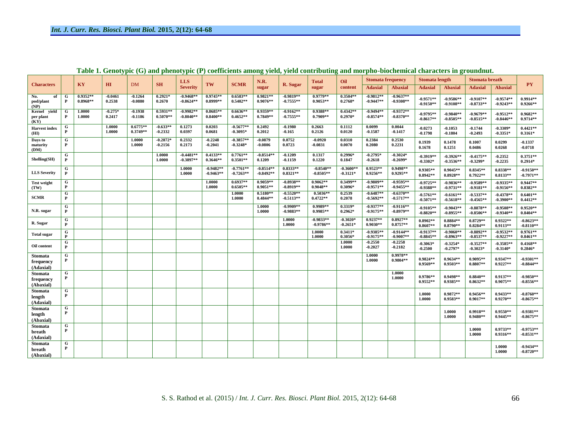| <b>Characters</b>                        |                                | KY                       | H I                 | <b>DM</b>                | <b>SH</b>                | <b>LLS</b><br><b>Severity</b> | TW                         | <b>SCMR</b>                | <b>N.R.</b><br>sugar       | R. Sugar                   | <b>Total</b><br>sugar      | Oil<br>content            | <b>Stomata frequency</b>   |                            | <b>Stomata length</b>      |                             | <b>Stomata</b> breath      |                            |                            |
|------------------------------------------|--------------------------------|--------------------------|---------------------|--------------------------|--------------------------|-------------------------------|----------------------------|----------------------------|----------------------------|----------------------------|----------------------------|---------------------------|----------------------------|----------------------------|----------------------------|-----------------------------|----------------------------|----------------------------|----------------------------|
|                                          |                                |                          |                     |                          |                          |                               |                            |                            |                            |                            |                            |                           | <b>Adaxial</b>             | <b>Abaxial</b>             | <b>Adaxial</b>             | <b>Abaxial</b>              | <b>Adaxial</b>             | <b>Abaxial</b>             | <b>PY</b>                  |
| of<br>No.<br>pod/plant<br>(NP)           | G<br>$\mathbf{P}$              | $0.9352**$<br>$0.8968**$ | $-0.0461$<br>0.2538 | $-0.1264$<br>$-0.0880$   | $0.2921*$<br>0.2670      | $-0.9468**$<br>$-0.8624**$    | $0.9745**$<br>$0.8999**$   | $0.6583**$<br>$0.5402**$   | $0.9821**$<br>$0.9076**$   | $-0.9819**$<br>$-0.7555**$ | $0.9779**$<br>$0.9053**$   | $0.3504**$<br>$0.2768*$   | $-0.9812**$<br>$-0.9447**$ | $-0.9637**$<br>$-0.9308**$ | $-0.9571**$<br>$-0.9150**$ | $-0.9586**$<br>$-0.9108**$  | $-0.9107**$<br>$-0.8733**$ | $-0.9574**$<br>$-0.9243**$ | $0.9914**$<br>$0.9266**$   |
| vield<br>Kernel<br>per plant<br>(KY)     | G<br>P                         | 1.0000<br>1.0000         | $-0.275*$<br>0.2417 | $-0.1938$<br>$-0.1186$   | $0.5931**$<br>$0.5070**$ | $-0.9982**$<br>$-0.8040**$    | $0.8685**$<br>$0.8400**$   | $0.6636**$<br>$0.4652**$   | $0.9359**$<br>$0.7849**$   | $-0.9162**$<br>$-0.7555**$ | $0.9388**$<br>$0.7909**$   | $0.4342**$<br>$0.2970*$   | $-0.9494**$<br>$-0.8574**$ | $-0.9372**$<br>$-0.8370**$ | $-0.9795**$<br>$-0.8617**$ | $-0.9840**$<br>$-0.8505***$ | $-0.9679**$<br>$-0.8515**$ | $-0.9512**$<br>$-0.8446**$ | $0.9682**$<br>$0.9714**$   |
| <b>Harvest</b> index<br>(HI)             | G<br>$\mathbf{P}$              |                          | 1.0000<br>1.0000    | $0.6775**$<br>$0.3749**$ | $-0.633**$<br>$-0.2332$  | 0.1273<br>0.0397              | 0.0203<br>0.0681           | $-0.5677**$<br>$-0.3095*$  | 0.2492<br>0.2012           | $-0.1980$<br>$-0.165$      | 0.2663<br>0.2126           | 0.1112<br>0.0120          | 0.0099<br>$-0.1587$        | 0.0044<br>$-0.1417$        | $-0.0273$<br>$-0.1798$     | $-0.1053$<br>$-0.1804$      | $-0.1744$<br>$-0.2493$     | $-0.3309*$<br>$-0.3351*$   | $0.4421**$<br>$0.3161*$    |
| Days to<br>maturity<br>(DM)              | ${\bf G}$<br>$\mathbf{P}$      |                          |                     | 1.0000<br>1.0000         | $-0.2872*$<br>$-0.2156$  | 0.2332<br>0.2173              | $-0.2248$<br>$-0.2041$     | $-0.3857**$<br>$-0.3248*$  | $-0.0879$<br>$-0.0806$     | 0.0752<br>0.0723           | $-0.0920$<br>$-0.0831$     | 0.0310<br>0.0070          | 0.2384<br>0.2080           | 0.2530<br>0.2231           | 0.1939<br>0.1678           | 0.1478<br>0.1251            | 0.1007<br>0.0486           | 0.0299<br>0.0268           | $-0.1337$<br>$-0.0718$     |
| Shelling(SH)                             | $\overline{G}$<br>$\mathbf{P}$ |                          |                     |                          | 1.0000<br>1.0000         | $-0.4481**$<br>$-0.3897**$    | $0.4133**$<br>$0.3646**$   | $0.7761**$<br>$0.3501**$   | $-0.8514**$<br>0.1209      | $-0.1209$<br>$-0.1159$     | 0.1317<br>0.1220           | $0.2996*$<br>0.1847       | $-0.2795*$<br>$-0.2618$    | $-0.3024*$<br>$-0.2699*$   | $-0.3919**$<br>$-0.3302*$  | $-0.3926**$<br>$-0.3536**$  | $-0.4175**$<br>$-0.3299*$  | $-0.2352$<br>$-0.2235$     | $0.3751**$<br>$0.2914*$    |
| <b>LLS Severity</b>                      | G<br>P                         |                          |                     |                          |                          | 1.0000<br>1.0000              | $-0.9482**$<br>$-0.9463**$ | $-0.7761**$<br>$-0.7263**$ | $-0.8514**$<br>$-0.8492**$ | $0.8333**$<br>$0.8321**$   | $-0.8540**$<br>$-0.8505**$ | $-0.3600**$<br>$-0.3121*$ | $0.9523**$<br>$0.9256**$   | $0.9498**$<br>$0.9295**$   | 0.9305**<br>$0.8942**$     | $0.9045**$<br>$0.8928**$    | $0.8345**$<br>$0.7922**$   | $0.8338**$<br>$0.8133**$   | $-0.9150**$<br>$-0.7971**$ |
| <b>Test weight</b><br>(TW)               | G<br>$\mathbf{P}$              |                          |                     |                          |                          |                               | 1.0000<br>1.0000           | $0.6937**$<br>$0.6505**$   | $0.9059**$<br>$0.9051**$   | $-0.8938**$<br>$-0.8919**$ | $0.9062**$<br>$0.9048**$   | $0.3499**$<br>$0.3096*$   | $-0.9809**$<br>$-0.9571**$ | $-0.9595**$<br>$-0.9455**$ | $-0.9725**$<br>$-0.9388**$ | $-0.9836**$<br>$-0.9731**$  | $-0.9589**$<br>$-0.9181**$ | $-0.9335**$<br>$-0.9156**$ | $0.9447**$<br>$0.8382**$   |
| <b>SCMR</b>                              | G<br>P                         |                          |                     |                          |                          |                               |                            | 1.0000<br>1.0000           | $0.5180**$<br>$0.4844**$   | $-0.5520**$<br>$-0.5113**$ | $0.5036**$<br>$0.4722**$   | 0.2539<br>0.2078          | $-0.6487**$<br>$-0.5692**$ | $-0.6370**$<br>$-0.5717**$ | $-0.5761**$<br>$-0.5071**$ | $-0.6161**$<br>$-0.5618**$  | $-0.5337**$<br>$-0.4565**$ | $-0.4378**$<br>$-0.3900**$ | $0.6401**$<br>$0.4412**$   |
| N.R. sugar                               | G<br>$\mathbf{P}$              |                          |                     |                          |                          |                               |                            |                            | 1.0000<br>1.0000           | $-0.9909**$<br>$-0.9883**$ | $0.9989**$<br>$0.9985**$   | $0.3319*$<br>$0.2962*$    | $-0.9377**$<br>$-0.9175**$ | $-0.9116**$<br>$-0.8979**$ | $-0.9105**$<br>$-0.8820**$ | $-0.9043**$<br>$-0.8955**$  | $-0.8878**$<br>$-0.8506**$ | $-0.9508**$<br>$-0.9340**$ | $0.9520**$<br>$0.8404**$   |
| R. Sugar                                 | G<br>P                         |                          |                     |                          |                          |                               |                            |                            |                            | 1.0000<br>1.0000           | $-0.9833**$<br>$-0.9786**$ | $-0.3020*$<br>$-0.2651*$  | $0.9237**$<br>$0.9030**$   | $0.8927**$<br>$0.8757**$   | $0.8902**$<br>$0.8607**$   | $0.8884**$<br>$0.8790**$    | $0.8729**$<br>$0.8284**$   | $0.9322**$<br>$0.9113**$   | $-0.8623**$<br>$-0.8110**$ |
| <b>Total sugar</b>                       | G<br>P                         |                          |                     |                          |                          |                               |                            |                            |                            |                            | 1.0000<br>1.0000           | $0.3411*$<br>$0.3056*$    | $-0.9385**$<br>$-0.9175**$ | $-0.9144**$<br>$-0.9007**$ | $-0.9137**$<br>$-0.8845**$ | $-0.9060**$<br>$-0.8963**$  | $-0.8892**$<br>$-0.8537**$ | $-0.9532**$<br>$-0.9227**$ | $0.9761**$<br>$0.8461**$   |
| Oil content                              | G<br>$\mathbf{P}$              |                          |                     |                          |                          |                               |                            |                            |                            |                            |                            | 1.0000<br>1.0000          | $-0.2550$<br>$-0.2027$     | $-0.2258$<br>$-0.2182$     | $-0.3063*$<br>$-0.2500$    | $-0.3254*$<br>$-0.2797*$    | $-0.3527**$<br>$-0.3023*$  | $-0.3585**$<br>$-0.3140*$  | $0.4168**$<br>$0.2846*$    |
| Stomata<br>frequency<br>(Adaxial)        | G<br>$\mathbf{P}$              |                          |                     |                          |                          |                               |                            |                            |                            |                            |                            |                           | 1.0000<br>1.0000           | $0.9978**$<br>$0.9804**$   | $0.9824**$<br>0.9569**     | $0.9634**$<br>$0.9503**$    | $0.9095**$<br>$0.8807**$   | $0.9347**$<br>$0.9227**$   | $-0.9301**$<br>$-0.8844**$ |
| <b>Stomata</b><br>frequency<br>(Abaxial) | G<br>$\mathbf{P}$              |                          |                     |                          |                          |                               |                            |                            |                            |                            |                            |                           |                            | 1.0000<br>1.0000           | 0.9786**<br>$0.9552**$     | 0.9498**<br>$0.9385**$      | $0.8840**$<br>$0.8632**$   | $0.9137**$<br>$0.9075**$   | $-0.9850**$<br>$-0.8556**$ |
| <b>Stomata</b><br>length<br>(Adaxial)    | G<br>$\mathbf{P}$              |                          |                     |                          |                          |                               |                            |                            |                            |                            |                            |                           |                            |                            | 1.0000<br>1.0000           | $0.9872**$<br>$0.9583**$    | $0.9456**$<br>$0.9017**$   | $0.9433**$<br>$0.9270**$   | $-0.8760**$<br>$-0.8675**$ |
| <b>Stomata</b><br>length<br>(Abaxial)    | G<br>P                         |                          |                     |                          |                          |                               |                            |                            |                            |                            |                            |                           |                            |                            |                            | 1.0000<br>1.0000            | $0.9918**$<br>$0.9480**$   | $0.9550**$<br>$0.9445**$   | $-0.9381**$<br>$-0.8675**$ |
| <b>Stomata</b><br>breath<br>(Adaxial)    | G<br>P                         |                          |                     |                          |                          |                               |                            |                            |                            |                            |                            |                           |                            |                            |                            |                             | 1.0000<br>1.0000           | $0.9733**$<br>$0.9316**$   | $-0.9753**$<br>$-0.8531**$ |
| <b>Stomata</b><br>breath<br>(Abaxial)    | G<br>P                         |                          |                     |                          |                          |                               |                            |                            |                            |                            |                            |                           |                            |                            |                            |                             |                            | 1.0000<br>1.0000           | $-0.9434**$<br>$-0.8720**$ |

**Table 1. Genotypic (G) and phenotypic (P) coefficients among yield, yield contributing and morpho-biochemical characters in groundnut.**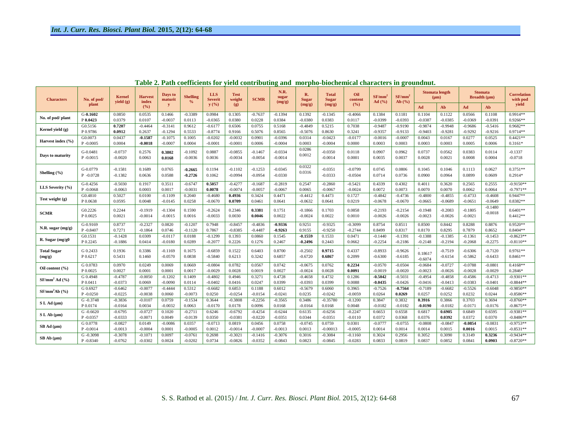| <b>Characters</b>         | No. of pod/  | Kernel<br>yield (g) | Harvest<br>index | Days to<br>maturit | <b>Shelling</b><br>$\frac{9}{6}$ | <b>LLS</b><br><b>Severit</b> | <b>Test</b><br>weight | <b>SCMR</b> | N.R.<br>sugar<br>(mg/g) | R.<br><b>Sugar</b> | <b>Total</b><br><b>Sugar</b> | Oil<br>content | $SF/mm^2$<br>Ad $(%)$ | SF/mm <sup>2</sup><br>Ab $(%$ | <b>Stomata</b> length<br>$(\mu m)$ |           | <b>Stomata</b><br>Breadth (µm) |           | <b>Correlation</b><br>with pod |
|---------------------------|--------------|---------------------|------------------|--------------------|----------------------------------|------------------------------|-----------------------|-------------|-------------------------|--------------------|------------------------------|----------------|-----------------------|-------------------------------|------------------------------------|-----------|--------------------------------|-----------|--------------------------------|
|                           | plant        |                     | (%)              | $\mathbf{y}$       |                                  | y(%)                         | (g)                   |             |                         | (mg/g)             | (mg/g)                       | (%)            |                       |                               | Ad                                 | Ab        | Ad                             | Ab        | yield                          |
| No. of pod/plant          | $G-0.1602$   | 0.0850              | 0.0535           | 0.1466             | $-0.3389$                        | 0.0984                       | 0.1305                | $-0.7637$   | $-0.1394$               | 0.1392             | $-0.1345$                    | $-0.4066$      | 0.1384                | 0.1181                        | 0.1104                             | 0.1122    | 0.0566                         | 0.1108    | 0.9914**                       |
|                           | P 0.0423     | 0.0379              | 0.0107           | $-0.0037$          | 0.0113                           | $-0.0365$                    | 0.0380                | 0.0228      | 0.0384                  | $-0.0380$          | 0.0383                       | 0.0117         | $-0.0399$             | $-0.0393$                     | $-0.0387$                          | $-0.0385$ | $-0.0369$                      | $-0.0391$ | $0.9266**$                     |
| Kernel yield (g)          | G0.5156      | 0.7207              | $-0.4464$        | $-0.3141$          | 0.9612                           | $-0.6177$                    | 0.6506                | 0.0755      | 0.5168                  | $-0.4849$          | 0.5215                       | 0.7038         | $-0.9487$             | $-0.9190$                     | $-0.9874$                          | $-0.9948$ | $-0.9686$                      | $-0.5416$ | 0.9682**                       |
|                           | P0.9786      | 0.0912              | 0.2637           | $-0.1294$          | 0.5533                           | $-0.8774$                    | 0.9166                | 0.5076      | 0.8565                  | $-0.5076$          | 0.8630                       | 0.3241         | $-0.9357$             | $-0.9133$                     | $-0.9403$                          | $-0.9281$ | $-0.9292$                      | $-0.9216$ | $0.9714**$                     |
| Harvest index (%)         | G0.0073      | 0.0437              | $-0.1587$        | $-0.1075$          | 0.1005                           | $-0.0202$                    | $-0.0032$             | 0.0901      | $-0.0396$               | 0.0314             | $-0.0423$                    | $-0.0177$      | $-0.0016$             | $-0.0007$                     | 0.0043                             | 0.0167    | 0.0277                         | 0.0525    | $0.4421**$                     |
|                           | $P - 0.0005$ | 0.0004              | $-0.0018$        | $-0.0007$          | 0.0004                           | $-0.0001$                    | $-0.0001$             | 0.0006      | $-0.0004$               | 0.0003             | $-0.0004$                    | 0.0000         | 0.0003                | 0.0003                        | 0.0003                             | 0.0003    | 0.0005                         | 0.0006    | $0.3161*$                      |
| Days to maturity          | G-0.0481     | $-0.0737$           | 0.2576           | 0.3802             | $-0.1092$                        | 0.0887                       | $-0.0855$             | $-0.1467$   | $-0.0334$               | 0.0286             | $-0.0350$                    | 0.0118         | 0.0907                | 0.0962                        | 0.0737                             | 0.0562    | 0.0383                         | 0.0114    | $-0.1337$                      |
|                           | $P - 0.0015$ | $-0.0020$           | 0.0063           | 0.0168             | $-0.0036$                        | 0.0036                       | $-0.0034$             | $-0.0054$   | $-0.0014$               | 0.0012             | $-0.0014$                    | 0.0001         | 0.0035                | 0.0037                        | 0.0028                             | 0.0021    | 0.0008                         | 0.0004    | $-0.0718$                      |
| Shelling $(\% )$          | G-0.0779     | $-0.1581$           | 0.1689           | 0.0765             | $-0.2665$                        | 0.1194                       | $-0.1102$             | $-0.1253$   | $-0.0345$               | 0.0322             | $-0.0351$                    | $-0.0799$      | 0.0745                | 0.0806                        | 0.1045                             | 0.1046    | 0.1113                         | 0.0627    | $0.3751**$                     |
|                           | P-0.0728     | $-0.1382$           | 0.0636           | 0.0588             | $-0.2726$                        | 0.1062                       | $-0.0994$             | $-0.0954$   | $-0.0330$               | 0.0316             | $-0.0333$                    | $-0.0504$      | 0.0714                | 0.0736                        | 0.0900                             | 0.0964    | 0.0899                         | 0.0609    | $0.2914*$                      |
| LLS Severity (%)          | $G-0.4256$   | $-0.5030$           | 0.1917           | 0.3511             | $-0.6747$                        | 0.5057                       | $-0.4277$             | $-0.1687$   | $-0.2819$               | 0.2547             | $-0.2860$                    | $-0.5421$      | 0.4339                | 0.4302                        | 0.4011                             | 0.3620    | 0.2565                         | 0.2555    | $-0.9150**$                    |
|                           | $P - 0.0068$ | $-0.0063$           | 0.0003           | 0.0017             | $-0.0031$                        | 0.0078                       | $-0.0074$             | $-0.0057$   | $-0.0067$               | 0.0065             | $-0.0067$                    | $-0.0024$      | 0.0072                | 0.0073                        | 0.0070                             | 0.0070    | 0.0062                         | 0.0064    | $-0.7971**$                    |
| Test weight (g)           | G0.4810      | 0.5027              | 0.0100           | $-0.1109$          | 0.2040                           | $-0.4680$                    | 0.4936                | 0.3424      | 0.4471                  | $-0.4412$          | 0.4473                       | 0.1727         | $-0.4842$             | $-0.4736$                     | $-0.4800$                          | $-0.4855$ | $-0.4733$                      | $-0.4608$ | 0.9447**                       |
|                           | P0.0638      | 0.0595              | 0.0048           | $-0.0145$          | 0.0258                           | $-0.0670$                    | 0.0709                | 0.0461      | 0.0641                  | $-0.0632$          | 0.0641                       | 0.0219         | $-0.0678$             | $-0.0670$                     | $-0.0665$                          | $-0.0689$ | $-0.0651$                      | $-0.0649$ | $0.8382**$                     |
| <b>SCMR</b>               | G0.2226      | 0.2244              | $-0.1919$        | $-0.1304$          | 0.1590                           | $-0.2624$                    | 0.2346                | 0.3381      | 0.1751                  | $-0.1866$          | 0.1703                       | 0.0858         | $-0.2193$             | $-0.2154$                     | $-0.1948$                          | $-0.2083$ | $-0.1805$                      | $-0.1480$ | $0.6401**$                     |
|                           | P 0.0025     | 0.0021              | $-0.0014$        | $-0.0015$          | 0.0016                           | $-0.0033$                    | 0.0030                | 0.0046      | 0.0022                  | $-0.0024$          | 0.0022                       | 0.0010         | $-0.0026$             | $-0.0026$                     | $-0.0023$                          | $-0.0026$ | $-0.0021$                      | $-0.0018$ | $0.4412**$                     |
| N.R. sugar (mg/g)         | G-0.9169     | 0.8737              | $-0.2327$        | 0.0820             | $-0.1207$                        | 0.7948                       | $-0.8457$             | $-0.4836$   | $-0.9336$               | 0.9251             | $-0.9325$                    | $-0.3099$      | 0.8754                | 0.8511                        | 0.8500                             | 0.8442    | 0.8288                         | 0.8876    | $0.9520**$                     |
|                           | P-0.8407     | 0.7271              | $-0.1864$        | 0.0746             | $-0.1120$                        | 0.7867                       | $-0.8385$             | $-0.4487$   | $-0.9263$               | 0.9155             | $-0.9250$                    | $-0.2744$      | 0.8499                | 0.8317                        | 0.8170                             | 0.8295    | 0.7879                         | 0.8652    | $0.8404**$                     |
| R. Sugar (mg/g0           | G0.1531      | $-0.1428$           | 0.0309           | $-0.0117$          | 0.0188                           | $-0.1299$                    | 0.1393                | 0.0860      | 0.1545                  | $-0.1559$          | 0.1533                       | 0.0471         | $-0.1440$             | $-0.1391$                     | $-0.1388$                          | $-0.1385$ | $-0.1361$                      | $-0.1453$ | $-0.8623**$                    |
|                           | P 0.2245     | $-0.1886$           | 0.0414           | $-0.0180$          | 0.0289                           | $-0.2077$                    | 0.2226                | 0.1276      | 0.2467                  | $-0.2496$          | 0.2443                       | 0.0662         | $-0.2254$             | $-0.2186$                     | $-0.2148$                          | $-0.2194$ | $-0.2068$                      | $-0.2275$ | $-0.8110**$                    |
| <b>Total Sugar</b>        | G 0.2433     | 0.1936              | 0.3386           | $-0.1169$          | 0.1675                           | $-0.6859$                    | 0.1522                | 0.6403      | 0.8700                  | $-0.2502$          | 0.9715                       | 0.4337         | $-0.8933$             | $-0.9626$                     | 0.18617                            | $-0.7519$ | $-0.6306$                      | $-0.7120$ | 0.9761**                       |
| (mg/g)                    | P 0.6217     | 0.5431              | 0.1460           | $-0.0570$          | 0.0838                           | $-0.5840$                    | 0.6213                | 0.3242      | 0.6857                  | $-0.6720$          | 0.6867                       | 0.2099         | $-0.6300$             | $-0.6185$                     | $-0.6074$                          | $-0.6154$ | $-0.5862$                      | $-0.6433$ | $0.8461**$                     |
| Oil content $(\% )$       | G 0.0783     | 0.0970              | 0.0249           | 0.0069             | 0.0669                           | $-0.0804$                    | 0.0782                | 0.0567      | 0.0742                  | $-0.0675$          | 0.0762                       | 0.2234         | $-0.0570$             | $-0.0504$                     | $-0.0684$                          | $-0.0727$ | $-0.0788$                      | $-0.0801$ | $0.4168**$                     |
|                           | P 0.0025     | 0.0027              | 0.0001           | 0.0001             | 0.0017                           | $-0.0029$                    | 0.0028                | 0.0019      | 0.0027                  | $-0.0024$          | 0.0028                       | 0.0091         | $-0.0019$             | $-0.0020$                     | $-0.0023$                          | $-0.0026$ | $-0.0028$                      | $-0.0029$ | 0.2846*                        |
| SF/mm <sup>2</sup> Ad (%) | G 0.4948     | $-0.4787$           | $-0.0050$        | $-0.1202$          | 0.1409                           | $-0.4802$                    | 0.4946                | 0.3271      | 0.4728                  | $-0.4658$          | 0.4732                       | 0.1286         | $-0.5042$             | $-0.5031$                     | $-0.4954$                          | $-0.4858$ | $-0.4586$                      | $-0.4713$ | $-0.9301**$                    |
|                           | P 0.0411     | $-0.0373$           | 0.0069           | $-0.0090$          | 0.0114                           | $-0.0402$                    | 0.0416                | 0.0247      | 0.0399                  | $-0.0393$          | 0.0399                       | 0.0088         | $-0.0435$             | $-0.0426$                     | $-0.0416$                          | $-0.0413$ | $-0.0383$                      | $-0.0401$ | $-0.8844**$                    |
| SF/mm <sup>2</sup> Ab (%) | G 0.6927     | $-0.6462$           | $-0.0077$        | $-0.4444$          | 0.5312                           | $-0.6682$                    | 0.6853                | 0.1188      | 0.6012                  | $-0.5679$          | 0.6060                       | 0.3965         | $-0.7526$             | $-0.7564$                     | $-0.7189$                          | $-0.6682$ | $-0.5526$                      | $-0.6048$ | $-0.9850**$                    |
|                           | $P - 0.0250$ | $-0.0225$           | $-0.0038$        | 0.0060             | $-0.0073$                        | 0.0250                       | $-0.0254$             | $-0.0154$   | $-0.0241$               | 0.0235             | $-0.0242$                    | $-0.0059$      | 0.0264                | 0.0269                        | 0.0257                             | 0.0252    | 0.0232                         | 0.0244    | $-0.8586**$                    |
| $S L Ad ( \mu m)$         | G-0.3748     | $-0.3836$           | $-0.0107$        | 0.0759             | $-0.1534$                        | 0.3644                       | $-0.3808$             | $-0.2256$   | $-0.3565$               | 0.3486             | $-0.35780$                   | $-0.1200$      | 0.3847                | 0.3832                        | 0.3916                             | 0.3866    | 0.3703                         | 0.3694    | $-0.8760**$                    |
|                           | P 0.0174     | $-0.0164$           | 0.0034           | $-0.0032$          | 0.0063                           | $-0.0170$                    | 0.0178                | 0.0096      | 0.0168                  | $-0.0164$          | 0.0168                       | 0.0048         | $-0.0182$             | $-0.0182$                     | $-0.0190$                          | $-0.0182$ | $-0.0171$                      | $-0.0176$ | $-0.8675**$                    |
| S L Ab (µm)               | $G - 0.6620$ | $-0.6795$           | $-0.0727$        | 0.1020             | $-0.2711$                        | 0.6246                       | $-0.6792$             | $-0.4254$   | $-0.6244$               | 0.6135             | $-0.6256$                    | $-0.2247$      | 0.6653                | 0.6558                        | 0.6817                             | 0.6905    | 0.6849                         | 0.6595    | $-0.9381**$                    |
|                           | P-0.0357     | $-0.0333$           | $-0.0071$        | 0.0049             | $-0.0139$                        | 0.0350                       | $-0.0381$             | $-0.0220$   | $-0.0351$               | 0.0344             | $-0.0351$                    | $-0.0110$      | 0.0372                | 0.0368                        | 0.0376                             | 0.0392    | 0.0372                         | 0.0370    | $-0.8486**$                    |
| $SB$ Ad $(\mu m)$         | G 0.0778     | $-0.0827$           | 0.0149           | $-0.0086$          | 0.0357                           | $-0.0713$                    | 0.0819                | 0.0456      | 0.0758                  | $-0.0745$          | 0.0759                       | 0.0301         | $-0.0777$             | $-0.0755$                     | $-0.0808$                          | $-0.0847$ | $-0.0854$                      | $-0.0831$ | $-0.9753**$                    |
|                           | $P - 0.0014$ | $-0.0013$           | $-0.0004$        | 0.0001             | $-0.0005$                        | 0.0012                       | $-0.0014$             | $-0.0007$   | $-0.0013$               | 0.0013             | $-0.00013$                   | $-0.0005$      | 0.0014                | 0.0014                        | 0.0014                             | 0.0015    | 0.0016                         | 0.0015    | $-0.8531**$                    |
| $SB$ Ab $(\mu m)$         | G-0.3098     | $-0.3078$           | $-0.1071$        | 0.0097             | $-0.0761$                        | 0.2698                       | $-0.3021$             | $-0.1416$   | $-0.3076$               | 0.3016             | $-0.3084$                    | $-0.1160$      | 0.3024                | 0.2956                        | 0.3052                             | 0.3090    | 0.3149                         | 0.3236    | $-0.9434**$                    |
|                           | P-0.8340     | $-0.0762$           | $-0.0302$        | 0.0024             | $-0.0202$                        | 0.0734                       | $-0.0826$             | $-0.0352$   | $-0.0843$               | 0.0823             | $-0.0845$                    | $-0.0283$      | 0.0833                | 0.0819                        | 0.0837                             | 0.0852    | 0.0841                         | 0.0903    | $-0.8720**$                    |

**Table 2. Path coefficients for yield contributing and morpho-biochemical characters in groundnut.**